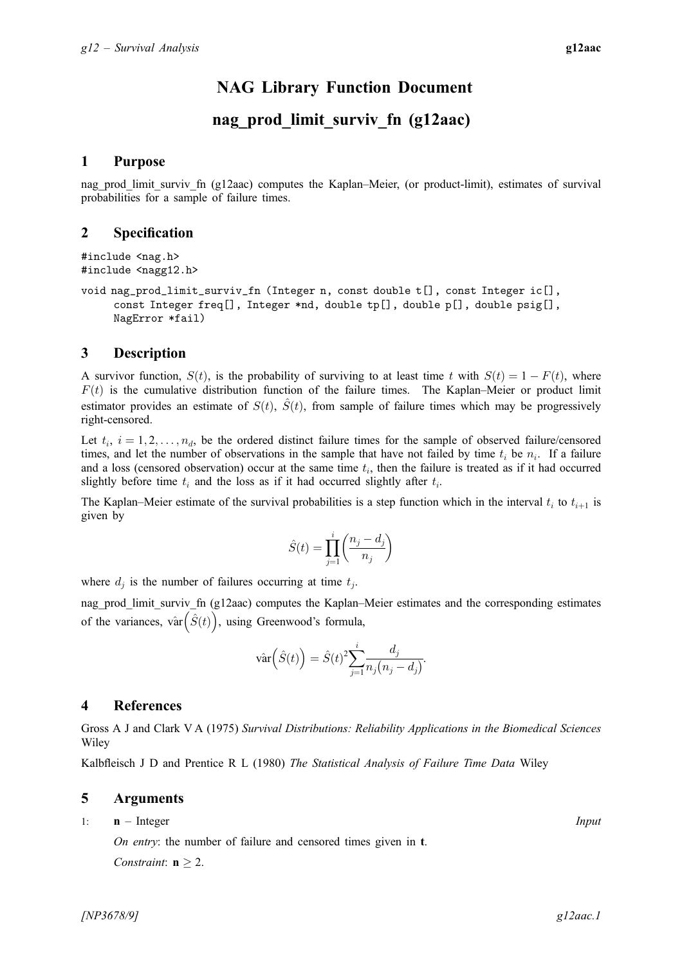# NAG Library Function Document

# nag prod limit surviv fn (g12aac)

# <span id="page-0-0"></span>1 Purpose

nag\_prod\_limit\_surviv\_fn (g12aac) computes the Kaplan–Meier, (or product-limit), estimates of survival probabilities for a sample of failure times.

### 2 Specification

```
#include <nag.h>
#include <nagg12.h>
```
void nag\_prod\_limit\_surviv\_fn (Integer n, const double [t](#page-1-0)[], const Integer [ic](#page-1-0)[], const Integer [freq\[](#page-1-0)], Integer \*[nd,](#page-1-0) double [tp](#page-1-0)[], double [p\[](#page-1-0)], double [psig](#page-1-0)[], NagError [\\*fail](#page-1-0))

# 3 Description

A survivor function,  $S(t)$ , is the probability of surviving to at least time t with  $S(t) = 1 - F(t)$ , where  $F(t)$  is the cumulative distribution function of the failure times. The Kaplan–Meier or product limit estimator provides an estimate of  $S(t)$ ,  $\hat{S}(t)$ , from sample of failure times which may be progressively right-censored.

Let  $t_i$ ,  $i = 1, 2, \ldots, n_d$ , be the ordered distinct failure times for the sample of observed failure/censored times, and let the number of observations in the sample that have not failed by time  $t_i$  be  $n_i$ . If a failure and a loss (censored observation) occur at the same time  $t_i$ , then the failure is treated as if it had occurred slightly before time  $t_i$  and the loss as if it had occurred slightly after  $t_i$ .

The Kaplan–Meier estimate of the survival probabilities is a step function which in the interval  $t_i$  to  $t_{i+1}$  is given by

$$
\hat{S}(t)=\prod_{j=1}^i\biggl(\frac{n_j-d_j}{n_j}\biggr)
$$

where  $d_i$  is the number of failures occurring at time  $t_i$ .

nag\_prod\_limit\_surviv\_fn (g12aac) computes the Kaplan–Meier estimates and the corresponding estimates of the variances, vâr $(\hat{S}(t))$ , using Greenwood's formula,

$$
\hat{\text{var}}\left(\hat{S}(t)\right) = \hat{S}(t)^2 \sum_{j=1}^i \frac{d_j}{n_j(n_j - d_j)}.
$$

# 4 References

Gross A J and Clark V A (1975) Survival Distributions: Reliability Applications in the Biomedical Sciences Wiley

Kalbfleisch J D and Prentice R L (1980) The Statistical Analysis of Failure Time Data Wiley

# 5 Arguments

1: **n** – Integer *Input* On entry: the number of failure and censored times given in [t](#page-1-0). Constraint:  $n \geq 2$ .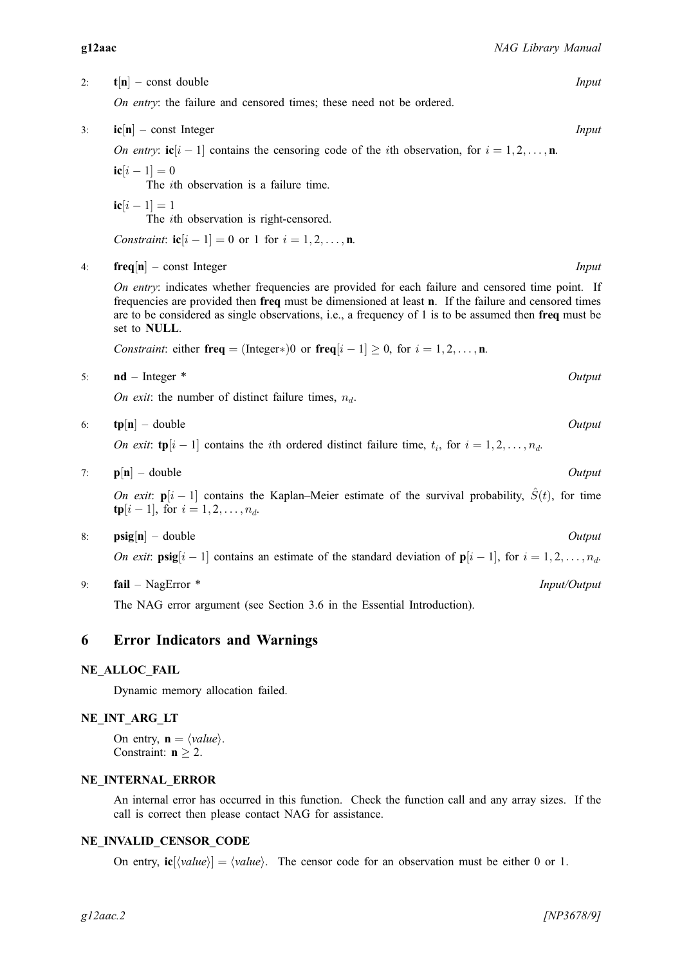<span id="page-1-0"></span>2:  $t[n]$  $t[n]$  $t[n]$  – const double Input

On entry: the failure and censored times; these need not be ordered.

 $3:$  ic $[n]$  $[n]$  $[n]$  – const Integer Input

O[n](#page-0-0) entry:  $\textbf{ic}[i-1]$  contains the censoring code of the *i*th observation, for  $i = 1, 2, \ldots, n$ .

 $i\mathbf{c}[i-1]=0$ 

The ith observation is a failure time.

 $ic[i - 1] = 1$ The ith observation is right-censored.

*Co[n](#page-0-0)straint*:  $ic[i - 1] = 0$  or 1 for  $i = 1, 2, ..., n$ .

4: **freq** $[n]$  $[n]$  $[n]$  – const Integer Input

On entry: indicates whether frequencies are provided for each failure and censored time point. If frequencies are provided then freq must be dimensioned at least [n](#page-0-0). If the failure and censored times are to be considered as single observations, i.e., a frequency of 1 is to be assumed then freq must be set to NULL.

*Co[n](#page-0-0)straint*: either **freq** = (Integer\*)0 or **freq**[ $i - 1$ ]  $\geq 0$ , for  $i = 1, 2, ..., n$ .

5: nd – Integer \* Output

On exit: the number of distinct failure times,  $n_d$ .

$$
6: \tp[n] - double
$$

On exit:  $\text{tp}[i-1]$  contains the *i*th ordered distinct failure time,  $t_i$ , for  $i = 1, 2, \ldots, n_d$ .

$$
7: \qquad \mathbf{p}[\mathbf{n}] - \text{double}
$$

On exit:  $p[i - 1]$  contains the Kaplan–Meier estimate of the survival probability,  $\hat{S}(t)$ , for time  $\text{tp}[i-1]$ , for  $i = 1, 2, ..., n_d$ .

8:  $\text{psig}[n]$  $\text{psig}[n]$  $\text{psig}[n]$  – double  $Output$ 

On exit:  $\text{psig}[i-1]$  contains an estimate of the standard deviation of  $\textbf{p}[i-1]$ , for  $i = 1, 2, ..., n_d$ .

9: fail – NagError \* Input/Output

The NAG error argument (see Section 3.6 in the Essential Introduction).

# 6 Error Indicators and Warnings

### NE\_ALLOC\_FAIL

Dynamic memory allocation failed.

# NE\_INT\_ARG\_LT

O[n](#page-0-0) entry,  $\mathbf{n} = \langle value \rangle$ . Co[n](#page-0-0)straint:  $n \geq 2$ .

#### NE\_INTERNAL\_ERROR

An internal error has occurred in this function. Check the function call and any array sizes. If the call is correct then please contact NAG for assistance.

# NE\_INVALID\_CENSOR\_CODE

On entry,  $\mathbf{i} \mathbf{c} [\langle value \rangle] = \langle value \rangle$ . The censor code for an observation must be either 0 or 1.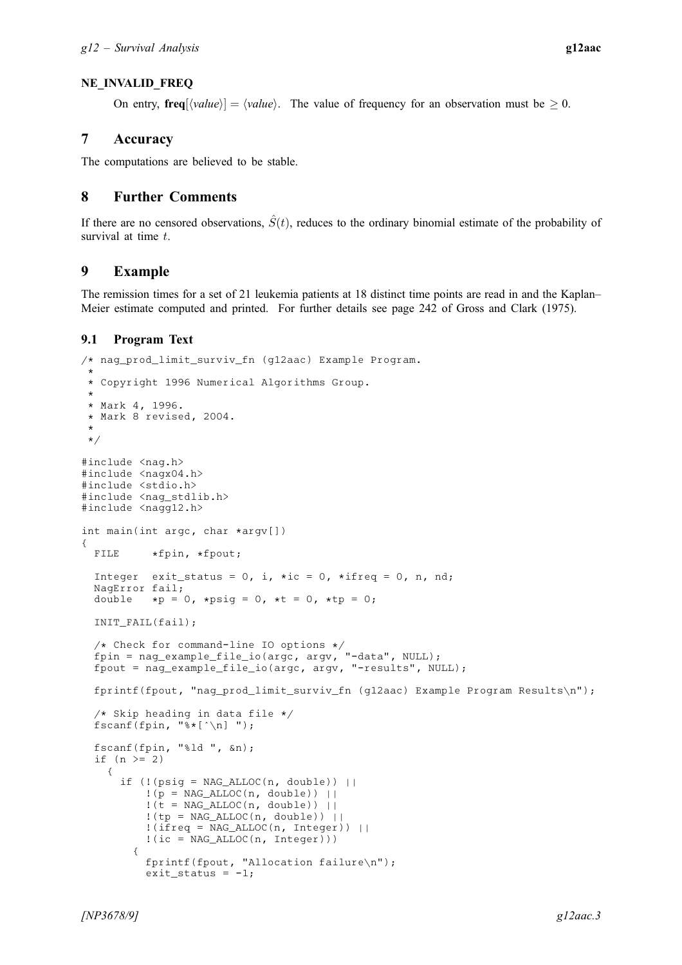# NE\_INVALID\_FREQ

On entry,  $\textbf{freq}[\langle value \rangle] = \langle value \rangle$  $\textbf{freq}[\langle value \rangle] = \langle value \rangle$  $\textbf{freq}[\langle value \rangle] = \langle value \rangle$ . The value of frequency for an observation must be  $\geq 0$ .

# 7 Accuracy

The computations are believed to be stable.

# 8 Further Comments

If there are no censored observations,  $\hat{S}(t)$ , reduces to the ordinary binomial estimate of the probability of survival at time t.

# 9 Example

The remission times for a set of 21 leukemia patients at 18 distinct time points are read in and the Kaplan– Meier estimate computed and printed. For further details see page 242 of [Gross and Clark \(1975\).](#page-0-0)

# 9.1 Program Text

```
/* nag_prod_limit_surviv_fn (g12aac) Example Program.
 *
 * Copyright 1996 Numerical Algorithms Group.
 *
 * Mark 4, 1996.
* Mark 8 revised, 2004.
 *
 */
#include <nag.h>
#include <nagx04.h>
#include <stdio.h>
#include <nag_stdlib.h>
#include <nagg12.h>
int main(int argc, char *argv[])
{
 FILE *fpin, *fpout;
 Integer exit_status = 0, i, *ic = 0, *ifreq = 0, n, nd;
 NagError fail;
 double *p = 0, *psig = 0, *t = 0, *tp = 0;
 INIT_FAIL(fail);
  /* Check for command-line IO options */
  fpin = nag_example_file_io(argc, argv, "-data", NULL);
  fpout = nag_example_file_io(argc, argv, "-results", NULL);
 fprintf(fpout, "nag_prod_limit_surviv_fn (g12aac) Example Program Results\n");
  /* Skip heading in data file */
 fscanf(fpin, "%*[^\n] ");
 fscanf(fpin, "%ld ", &n);
  if (n > = 2){
      if (!(\text{psig} = \text{NAG}\_\text{ALLOC}(n, \text{double})) ||!(p = NAG\_ALLOC(n, double)) ||!(t = NAG_ALLOC(n, double)) ||
          !(tp = NAG\_ALLOC(n, double)) ||
          !(ifreq = NAG_ALLOC(n, Integer)) ||
          !(i c = NAGALLOC(n, Integer))){
          fprintf(fpout, "Allocation failure\n");
          ext_{status} = -1;
```